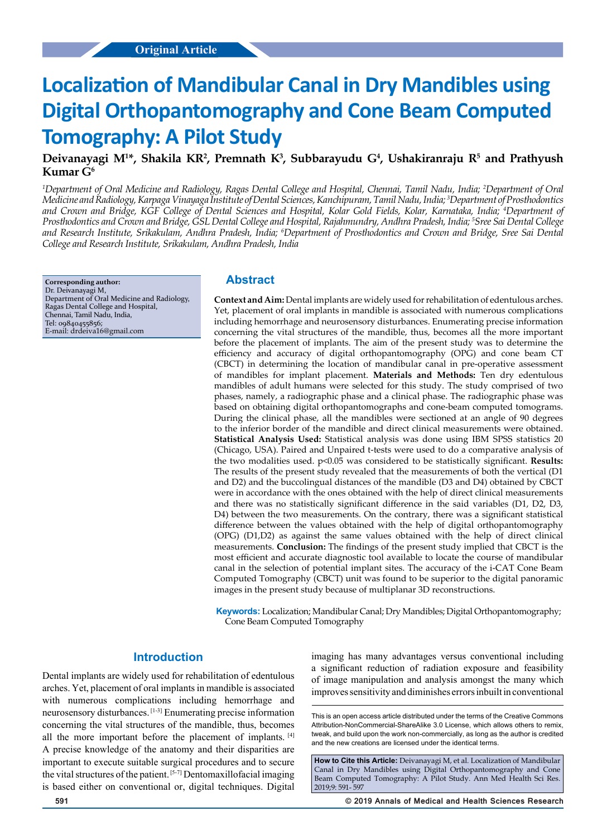# **Localization of Mandibular Canal in Dry Mandibles using Digital Orthopantomography and Cone Beam Computed Tomography: A Pilot Study**

# Deivanayagi M<sup>1\*</sup>, Shakila KR<sup>2</sup>, Premnath K<sup>3</sup>, Subbarayudu G<sup>4</sup>, Ushakiranraju R<sup>5</sup> and Prathyush **Kumar G6**

*1 Department of Oral Medicine and Radiology, Ragas Dental College and Hospital, Chennai, Tamil Nadu, India; 2 Department of Oral Medicine and Radiology, Karpaga Vinayaga Institute of Dental Sciences, Kanchipuram, Tamil Nadu, India; 3 Department of Prosthodontics and Crown and Bridge, KGF College of Dental Sciences and Hospital, Kolar Gold Fields, Kolar, Karnataka, India; 4 Department of Prosthodontics and Crown and Bridge, GSL Dental College and Hospital, Rajahmundry, Andhra Pradesh, India; 5 Sree Sai Dental College and Research Institute, Srikakulam, Andhra Pradesh, India; 6 Department of Prosthodontics and Crown and Bridge, Sree Sai Dental College and Research Institute, Srikakulam, Andhra Pradesh, India*

**Corresponding author:** Dr. Deivanayagi M, Department of Oral Medicine and Radiology, Ragas Dental College and Hospital, Chennai, Tamil Nadu, India, Tel: 09840455856; E-mail: drdeiva16@gmail.com

## **Abstract**

**Context and Aim:** Dental implants are widely used for rehabilitation of edentulous arches. Yet, placement of oral implants in mandible is associated with numerous complications including hemorrhage and neurosensory disturbances. Enumerating precise information concerning the vital structures of the mandible, thus, becomes all the more important before the placement of implants. The aim of the present study was to determine the efficiency and accuracy of digital orthopantomography (OPG) and cone beam CT (CBCT) in determining the location of mandibular canal in pre-operative assessment of mandibles for implant placement. **Materials and Methods:** Ten dry edentulous mandibles of adult humans were selected for this study. The study comprised of two phases, namely, a radiographic phase and a clinical phase. The radiographic phase was based on obtaining digital orthopantomographs and cone-beam computed tomograms. During the clinical phase, all the mandibles were sectioned at an angle of 90 degrees to the inferior border of the mandible and direct clinical measurements were obtained. **Statistical Analysis Used:** Statistical analysis was done using IBM SPSS statistics 20 (Chicago, USA). Paired and Unpaired t-tests were used to do a comparative analysis of the two modalities used. p<0.05 was considered to be statistically significant. **Results:** The results of the present study revealed that the measurements of both the vertical (D1 and D2) and the buccolingual distances of the mandible (D3 and D4) obtained by CBCT were in accordance with the ones obtained with the help of direct clinical measurements and there was no statistically significant difference in the said variables (D1, D2, D3, D4) between the two measurements. On the contrary, there was a significant statistical difference between the values obtained with the help of digital orthopantomography (OPG) (D1,D2) as against the same values obtained with the help of direct clinical measurements. **Conclusion:** The findings of the present study implied that CBCT is the most efficient and accurate diagnostic tool available to locate the course of mandibular canal in the selection of potential implant sites. The accuracy of the i-CAT Cone Beam Computed Tomography (CBCT) unit was found to be superior to the digital panoramic images in the present study because of multiplanar 3D reconstructions.

**Keywords:** Localization; Mandibular Canal; Dry Mandibles; Digital Orthopantomography; Cone Beam Computed Tomography

# **Introduction**

Dental implants are widely used for rehabilitation of edentulous arches. Yet, placement of oral implants in mandible is associated with numerous complications including hemorrhage and neurosensory disturbances. [1-3] Enumerating precise information concerning the vital structures of the mandible, thus, becomes all the more important before the placement of implants. [4] A precise knowledge of the anatomy and their disparities are important to execute suitable surgical procedures and to secure the vital structures of the patient. [5-7] Dentomaxillofacial imaging is based either on conventional or, digital techniques. Digital imaging has many advantages versus conventional including a significant reduction of radiation exposure and feasibility of image manipulation and analysis amongst the many which improves sensitivity and diminishes errors inbuilt in conventional

This is an open access article distributed under the terms of the Creative Commons Attribution-NonCommercial-ShareAlike 3.0 License, which allows others to remix, tweak, and build upon the work non‑commercially, as long as the author is credited and the new creations are licensed under the identical terms.

**How to Cite this Article:** Deivanayagi M, et al. Localization of Mandibular Canal in Dry Mandibles using Digital Orthopantomography and Cone Beam Computed Tomography: A Pilot Study. Ann Med Health Sci Res. 2019;9: 591- 597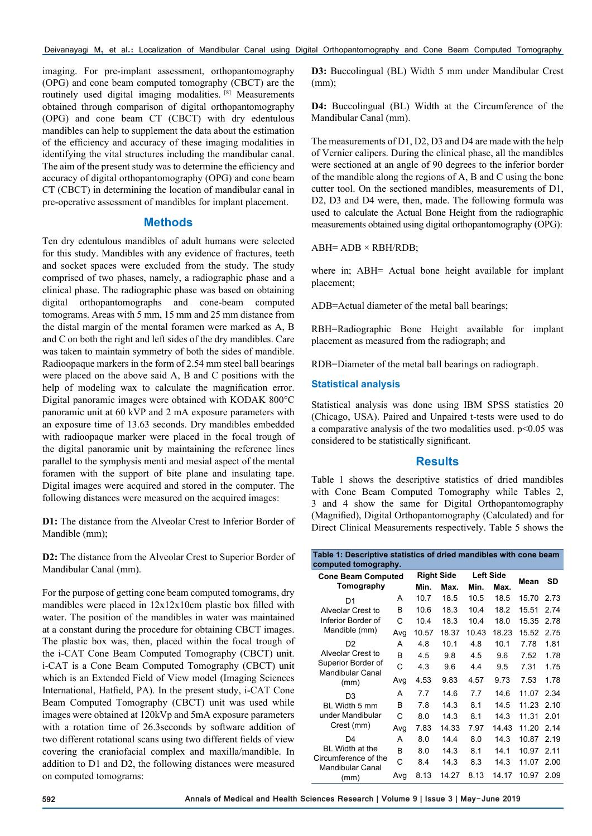imaging. For pre-implant assessment, orthopantomography (OPG) and cone beam computed tomography (CBCT) are the routinely used digital imaging modalities. [8] Measurements obtained through comparison of digital orthopantomography (OPG) and cone beam CT (CBCT) with dry edentulous mandibles can help to supplement the data about the estimation of the efficiency and accuracy of these imaging modalities in identifying the vital structures including the mandibular canal. The aim of the present study was to determine the efficiency and accuracy of digital orthopantomography (OPG) and cone beam CT (CBCT) in determining the location of mandibular canal in pre-operative assessment of mandibles for implant placement.

## **Methods**

Ten dry edentulous mandibles of adult humans were selected for this study. Mandibles with any evidence of fractures, teeth and socket spaces were excluded from the study. The study comprised of two phases, namely, a radiographic phase and a clinical phase. The radiographic phase was based on obtaining digital orthopantomographs and cone-beam computed tomograms. Areas with 5 mm, 15 mm and 25 mm distance from the distal margin of the mental foramen were marked as A, B and C on both the right and left sides of the dry mandibles. Care was taken to maintain symmetry of both the sides of mandible. Radioopaque markers in the form of 2.54 mm steel ball bearings were placed on the above said A, B and C positions with the help of modeling wax to calculate the magnification error. Digital panoramic images were obtained with KODAK 800°C panoramic unit at 60 kVP and 2 mA exposure parameters with an exposure time of 13.63 seconds. Dry mandibles embedded with radioopaque marker were placed in the focal trough of the digital panoramic unit by maintaining the reference lines parallel to the symphysis menti and mesial aspect of the mental foramen with the support of bite plane and insulating tape. Digital images were acquired and stored in the computer. The following distances were measured on the acquired images:

**D1:** The distance from the Alveolar Crest to Inferior Border of Mandible (mm);

**D2:** The distance from the Alveolar Crest to Superior Border of Mandibular Canal (mm).

For the purpose of getting cone beam computed tomograms, dry mandibles were placed in 12x12x10cm plastic box filled with water. The position of the mandibles in water was maintained at a constant during the procedure for obtaining CBCT images. The plastic box was, then, placed within the focal trough of the i-CAT Cone Beam Computed Tomography (CBCT) unit. i-CAT is a Cone Beam Computed Tomography (CBCT) unit which is an Extended Field of View model (Imaging Sciences International, Hatfield, PA). In the present study, i-CAT Cone Beam Computed Tomography (CBCT) unit was used while images were obtained at 120kVp and 5mA exposure parameters with a rotation time of 26.3seconds by software addition of two different rotational scans using two different fields of view covering the craniofacial complex and maxilla/mandible. In addition to D1 and D2, the following distances were measured on computed tomograms:

**D3:** Buccolingual (BL) Width 5 mm under Mandibular Crest (mm);

**D4:** Buccolingual (BL) Width at the Circumference of the Mandibular Canal (mm).

The measurements of D1, D2, D3 and D4 are made with the help of Vernier calipers. During the clinical phase, all the mandibles were sectioned at an angle of 90 degrees to the inferior border of the mandible along the regions of A, B and C using the bone cutter tool. On the sectioned mandibles, measurements of D1, D2, D3 and D4 were, then, made. The following formula was used to calculate the Actual Bone Height from the radiographic measurements obtained using digital orthopantomography (OPG):

 $ABH= ADB \times RBH/RDB;$ 

where in; ABH= Actual bone height available for implant placement;

ADB=Actual diameter of the metal ball bearings;

RBH=Radiographic Bone Height available for implant placement as measured from the radiograph; and

RDB=Diameter of the metal ball bearings on radiograph.

### **Statistical analysis**

Statistical analysis was done using IBM SPSS statistics 20 (Chicago, USA). Paired and Unpaired t-tests were used to do a comparative analysis of the two modalities used.  $p<0.05$  was considered to be statistically significant.

## **Results**

Table 1 shows the descriptive statistics of dried mandibles with Cone Beam Computed Tomography while Tables 2, 3 and 4 show the same for Digital Orthopantomography (Magnified), Digital Orthopantomography (Calculated) and for Direct Clinical Measurements respectively. Table 5 shows the

| Table 1: Descriptive statistics of dried mandibles with cone beam<br>computed tomography. |     |       |                   |       |                  |       |       |
|-------------------------------------------------------------------------------------------|-----|-------|-------------------|-------|------------------|-------|-------|
| <b>Cone Beam Computed</b>                                                                 |     |       | <b>Right Side</b> |       | <b>Left Side</b> | Mean  | SD    |
| Tomography                                                                                |     | Min.  | Max.              | Min.  | Max.             |       |       |
| D1                                                                                        | A   | 10.7  | 18.5              | 10.5  | 18.5             | 15.70 | 2.73  |
| Alveolar Crest to                                                                         | B   | 10.6  | 18.3              | 10.4  | 18.2             | 15.51 | 2.74  |
| Inferior Border of                                                                        | C   | 104   | 18.3              | 10.4  | 18.0             | 15.35 | 2.78  |
| Mandible (mm)                                                                             | Avg | 10.57 | 18.37             | 10.43 | 18.23            | 15.52 | 2.75  |
| D <sub>2</sub>                                                                            | А   | 4.8   | 10.1              | 4.8   | 10.1             | 7.78  | 1.81  |
| Alveolar Crest to                                                                         | B   | 4.5   | 9.8               | 4.5   | 9.6              | 7.52  | 1.78  |
| Superior Border of<br><b>Mandibular Canal</b>                                             | C   | 4.3   | 9.6               | 4.4   | 9.5              | 7.31  | 1.75  |
| (mm)                                                                                      | Avg | 4.53  | 9.83              | 4.57  | 9.73             | 7.53  | 1.78  |
| D <sub>3</sub>                                                                            | А   | 7.7   | 14.6              | 7.7   | 14.6             | 11.07 | 2.34  |
| BL Width 5 mm                                                                             | B   | 7.8   | 14.3              | 8.1   | 14.5             | 11.23 | 2.10  |
| under Mandibular                                                                          | C   | 8.0   | 14.3              | 8.1   | 14.3             | 11.31 | 2.01  |
| Crest (mm)                                                                                | Avg | 7.83  | 14.33             | 7.97  | 14.43            | 11.20 | 2.14  |
| D4                                                                                        | А   | 80    | 144               | 80    | 14.3             | 10.87 | 2.19  |
| <b>BL</b> Width at the                                                                    | B   | 80    | 14.3              | 8.1   | 141              | 10.97 | 2 1 1 |
| Circumference of the                                                                      | C   | 8.4   | 14.3              | 8.3   | 14.3             | 11.07 | 2.00  |
| <b>Mandibular Canal</b><br>(mm)                                                           | Avg | 8.13  | 14.27             | 8.13  | 14.17            | 10.97 | 2.09  |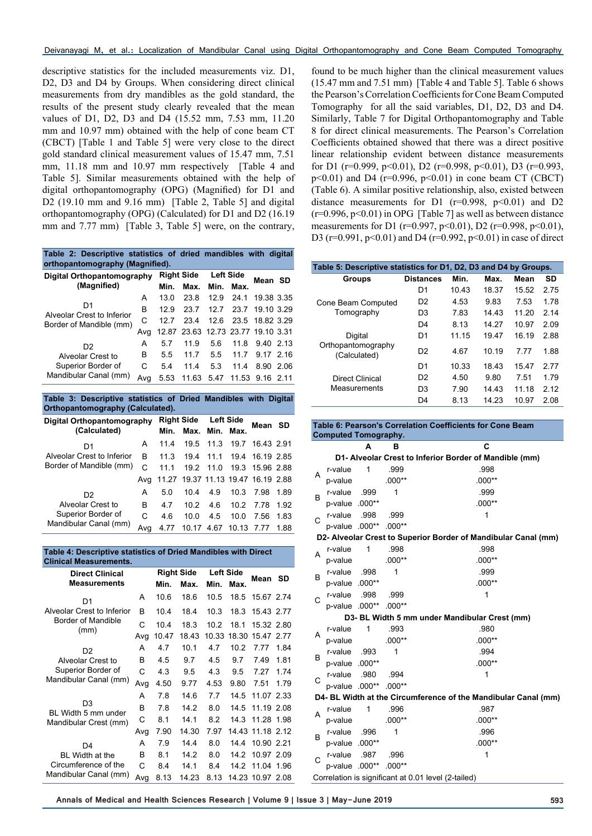descriptive statistics for the included measurements viz. D1, D2, D3 and D4 by Groups. When considering direct clinical measurements from dry mandibles as the gold standard, the results of the present study clearly revealed that the mean values of D1, D2, D3 and D4 (15.52 mm, 7.53 mm, 11.20 mm and 10.97 mm) obtained with the help of cone beam CT (CBCT) [Table 1 and Table 5] were very close to the direct gold standard clinical measurement values of 15.47 mm, 7.51 mm, 11.18 mm and 10.97 mm respectively [Table 4 and Table 5]. Similar measurements obtained with the help of digital orthopantomography (OPG) (Magnified) for D1 and D2 (19.10 mm and 9.16 mm) [Table 2, Table 5] and digital orthopantomography (OPG) (Calculated) for D1 and D2 (16.19 mm and 7.77 mm) [Table 3, Table 5] were, on the contrary,

**Table 2: Descriptive statistics of dried mandibles with digital orthopantomography (Magnified).**

| Digital Orthopantomography<br>(Magnified) |     | <b>Right Side</b> |                                    | <b>Left Side</b> |                      | Mean SD         |  |
|-------------------------------------------|-----|-------------------|------------------------------------|------------------|----------------------|-----------------|--|
|                                           |     | Min.              | Max.                               | Min.             | Max.                 |                 |  |
|                                           | A   | 13.0              | 23.8                               |                  | 12.9 24.1            | 19.38 3.35      |  |
| D1<br>Alveolar Crest to Inferior          | B   | 12.9              | 23.7                               |                  | 12.7 23.7 19.10 3.29 |                 |  |
| Border of Mandible (mm)                   | C   | 12.7              | 23.4                               |                  | 12.6 23.5 18.82 3.29 |                 |  |
|                                           | Ava |                   | 12.87 23.63 12.73 23.77 19.10 3.31 |                  |                      |                 |  |
| D <sub>2</sub>                            | A   | 57                | 11.9                               | 5.6              |                      | 11.8 9.40 2.13  |  |
| Alveolar Crest to                         | в   | 55                | 117                                | 5.5              |                      | 11.7 9.17 2.16  |  |
| Superior Border of                        | C   | 5.4               | 114                                | 5.3              | 114                  | 8.90 2.06       |  |
| Mandibular Canal (mm)                     | Ava | 5.53              | 11.63                              | -5.47            |                      | 11.53 9.16 2.11 |  |

| Table 3: Descriptive statistics of Dried Mandibles with Digital<br>Orthopantomography (Calculated). |     |                   |             |                  |       |                                    |      |
|-----------------------------------------------------------------------------------------------------|-----|-------------------|-------------|------------------|-------|------------------------------------|------|
| Digital Orthopantomography                                                                          |     | <b>Right Side</b> |             | <b>Left Side</b> |       | Mean SD                            |      |
| (Calculated)                                                                                        |     | Min.              | Max.        | Min.             | Max.  |                                    |      |
| D <sub>1</sub>                                                                                      | A   | 11.4              | 19.5        | 11.3             |       | 19.7 16.43 2.91                    |      |
| Alveolar Crest to Inferior                                                                          | B   | 11.3              | 194         |                  |       | 11.1 19.4 16.19 2.85               |      |
| Border of Mandible (mm)                                                                             | C   | 11 1              | 19.2        | 11 <sub>0</sub>  |       | 19.3 15.96 2.88                    |      |
|                                                                                                     | Avg |                   |             |                  |       | 11.27 19.37 11.13 19.47 16.19 2.88 |      |
| D <sub>2</sub>                                                                                      | A   | 5.0               | 10.4        | 4.9              | 10.3  | 7.98                               | 1.89 |
| Alveolar Crest to                                                                                   | R   | 4.7               | 10.2        | 4.6              | 10.2  | 7 78                               | 1.92 |
| Superior Border of                                                                                  | C   | 46                | 10 $\Omega$ | 4.5              | 10.0  | 7.56                               | 1.83 |
| Mandibular Canal (mm)                                                                               | Ava | 4.77              |             | 10.17 4.67       | 10.13 | 7.77                               | 1.88 |

#### **Table 4: Descriptive statistics of Dried Mandibles with Direct Clinical Measurements.**

| <b>Direct Clinical</b>                |     |       | <b>Right Side</b> |       | <b>Left Side</b><br>Mean |            | SD   |
|---------------------------------------|-----|-------|-------------------|-------|--------------------------|------------|------|
| <b>Measurements</b>                   |     | Min.  | Max.              | Min.  | Max.                     |            |      |
| D1                                    | A   | 10.6  | 18.6              | 10.5  | 18.5                     | 15.67 2.74 |      |
| Alveolar Crest to Inferior            | B   | 10.4  | 18.4              | 10.3  | 18.3                     | 15.43 2.77 |      |
| Border of Mandible<br>(mm)            | C   | 10.4  | 18.3              | 10.2  | 18.1                     | 15.32 2.80 |      |
|                                       | Avg | 10.47 | 18.43             | 10.33 | 18.30                    | 15.47      | 2 77 |
| D <sub>2</sub>                        | А   | 4.7   | 10.1              | 4.7   | 10.2                     | 7.77       | 1.84 |
| Alveolar Crest to                     | B   | 4.5   | 9.7               | 4.5   | 9.7                      | 7.49       | 1.81 |
| Superior Border of                    | C   | 4.3   | 9.5               | 4.3   | 9.5                      | 7 27       | 1.74 |
| Mandibular Canal (mm)                 | Avg | 4.50  | 9.77              | 4.53  | 9.80                     | 7.51       | 1.79 |
|                                       | А   | 7.8   | 14.6              | 7.7   | 14.5                     | 11.07 2.33 |      |
| D <sub>3</sub><br>BL Width 5 mm under | B   | 7.8   | 14.2              | 8.0   | 14.5                     | 11.19 2.08 |      |
| Mandibular Crest (mm)                 | С   | 8.1   | 14.1              | 8.2   | 14.3                     | 11.28 1.98 |      |
|                                       | Avg | 7.90  | 14.30             | 7.97  | 14.43                    | 11.18 2.12 |      |
| D <sub>4</sub>                        | Α   | 7.9   | 14.4              | 8.0   | 14.4                     | 10.90 2.21 |      |
| BL Width at the                       | B   | 8.1   | 14.2              | 8.0   | 14.2                     | 10.97 2.09 |      |
| Circumference of the                  | C   | 8.4   | 14.1              | 8.4   | 14.2                     | 11.04      | 1.96 |
| Mandibular Canal (mm)                 | Avg | 8.13  | 14.23             | 8.13  | 14.23                    | 10.97 2.08 |      |

found to be much higher than the clinical measurement values (15.47 mm and 7.51 mm) [Table 4 and Table 5]. Table 6 shows the Pearson's Correlation Coefficients for Cone Beam Computed Tomography for all the said variables, D1, D2, D3 and D4. Similarly, Table 7 for Digital Orthopantomography and Table 8 for direct clinical measurements. The Pearson's Correlation Coefficients obtained showed that there was a direct positive linear relationship evident between distance measurements for D1 ( $r=0.999$ ,  $p<0.01$ ), D2 ( $r=0.998$ ,  $p<0.01$ ), D3 ( $r=0.993$ ,  $p<0.01$ ) and D4 ( $r=0.996$ ,  $p<0.01$ ) in cone beam CT (CBCT) (Table 6). A similar positive relationship, also, existed between distance measurements for D1 ( $r=0.998$ ,  $p<0.01$ ) and D2  $(r=0.996, p<0.01)$  in OPG [Table 7] as well as between distance measurements for D1 (r=0.997, p<0.01), D2 (r=0.998, p<0.01), D3 ( $r=0.991$ ,  $p<0.01$ ) and D4 ( $r=0.992$ ,  $p<0.01$ ) in case of direct

| Table 5: Descriptive statistics for D1, D2, D3 and D4 by Groups. |                  |       |       |       |       |
|------------------------------------------------------------------|------------------|-------|-------|-------|-------|
| <b>Groups</b>                                                    | <b>Distances</b> | Min.  | Max.  | Mean  | SD    |
|                                                                  | D1               | 10.43 | 18.37 | 15.52 | 2.75  |
| Cone Beam Computed                                               | D <sub>2</sub>   | 4.53  | 9.83  | 7.53  | 1 78  |
| Tomography                                                       | D3               | 7.83  | 14.43 | 11.20 | 2.14  |
|                                                                  | D4               | 8.13  | 14 27 | 10.97 | 2.09  |
| Digital                                                          | D1               | 11 15 | 19.47 | 16.19 | 2.88  |
| Orthopantomography<br>(Calculated)                               | D <sub>2</sub>   | 4.67  | 10.19 | 7 77  | 1.88  |
|                                                                  | D1               | 10.33 | 18.43 | 15.47 | 2.77  |
| <b>Direct Clinical</b>                                           | D2               | 4.50  | 9.80  | 7.51  | 1.79  |
| Measurements                                                     | D3               | 7.90  | 14 43 | 11 18 | 2 1 2 |
|                                                                  | D4               | 8.13  | 14.23 | 10.97 | 2.08  |

|              | <b>Computed Tomography.</b> |              |          | Table 6: Pearson's Correlation Coefficients for Cone Beam      |
|--------------|-----------------------------|--------------|----------|----------------------------------------------------------------|
|              |                             | A            | в        | C                                                              |
|              |                             |              |          |                                                                |
|              |                             | 1            | .999     | D1- Alveolar Crest to Inferior Border of Mandible (mm)<br>.998 |
| A            | r-value                     |              |          |                                                                |
|              | p-value                     |              | $.000**$ | $.000**$                                                       |
| B            | r-value                     | .999         | 1        | .999                                                           |
|              | p-value .000**              |              |          | $.000**$                                                       |
| $\mathsf{C}$ | r-value                     | .998         | .999     | 1                                                              |
|              | p-value 000** 000**         |              |          |                                                                |
|              |                             |              |          | D2- Alveolar Crest to Superior Border of Mandibular Canal (mm) |
| А            | r-value                     | 1            | .998     | .998                                                           |
|              | p-value                     |              | $.000**$ | $.000**$                                                       |
| B            | r-value                     | .998         | 1        | .999                                                           |
|              | p-value .000**              |              |          | $.000**$                                                       |
| C            | r-value                     | .998         | .999     | 1                                                              |
|              | p-value .000** .000**       |              |          |                                                                |
|              |                             |              |          | D3- BL Width 5 mm under Mandibular Crest (mm)                  |
| A            | r-value                     | $\mathbf{1}$ | .993     | .980                                                           |
|              | p-value                     |              | $.000**$ | $.000**$                                                       |
| B.           | r-value                     | .993         | 1        | .994                                                           |
|              | p-value .000**              |              |          | $.000**$                                                       |
|              | r-value .980                |              | .994     | 1                                                              |
| C            | p-value .000** .000**       |              |          |                                                                |
|              |                             |              |          | D4- BL Width at the Circumference of the Mandibular Canal (mm) |
|              | r-value                     | $\mathbf{1}$ | .996     | .987                                                           |
| A            | p-value                     |              | $.000**$ | $.000**$                                                       |
|              | r-value                     | .996         | 1        | .996                                                           |
| B            | p-value .000**              |              |          | $.000**$                                                       |
|              | r-value                     | .987         | .996     | 1                                                              |
| C            | p-value .000** .000**       |              |          |                                                                |
|              |                             |              |          | Correlation is significant at 0.01 level (2-tailed)            |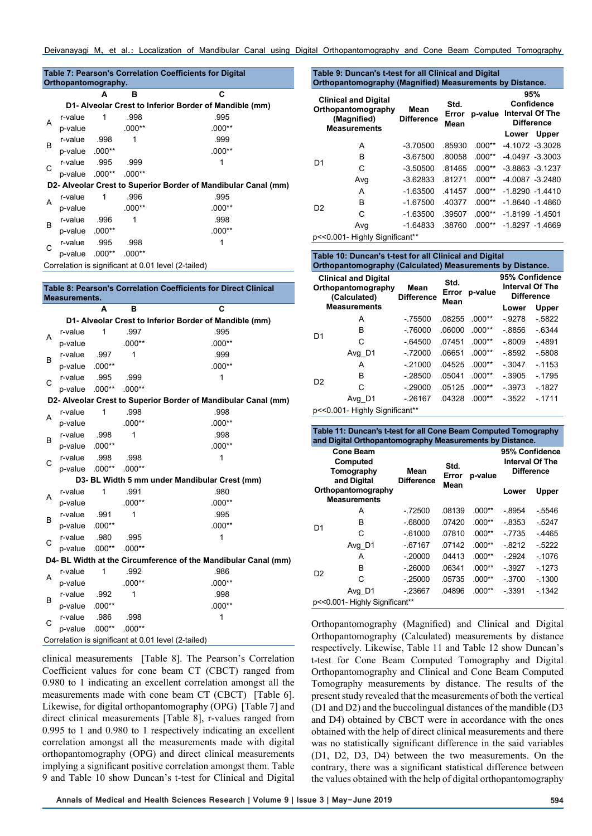|   | Orthopantomography. |   |          | Table 7: Pearson's Correlation Coefficients for Digital        |
|---|---------------------|---|----------|----------------------------------------------------------------|
|   |                     | A | в        | C                                                              |
|   |                     |   |          | D1- Alveolar Crest to Inferior Border of Mandible (mm)         |
| A | r-value             | 1 | .998     | .995                                                           |
|   | p-value             |   | $.000**$ | $.000**$                                                       |
| B | r-value .998        |   | 1        | .999                                                           |
|   | p-value .000**      |   |          | $.000**$                                                       |
|   | P-value .995        |   | .999     | 1                                                              |
| С | p-value .000**      |   | $.000**$ |                                                                |
|   |                     |   |          | D2- Alveolar Crest to Superior Border of Mandibular Canal (mm) |
| A | r-value             | 1 | .996     | .995                                                           |
|   | p-value             |   | $.000**$ | $.000**$                                                       |
| B | r-value .996        |   | 1        | .998                                                           |
|   | p-value .000**      |   |          | $.000**$                                                       |
| C | P-value .995        |   | .998     |                                                                |
|   | n-value .000**      |   | .000**   |                                                                |
|   |                     |   |          | Correlation is significant at 0.01 level (2-tailed)            |

|   | <b>Measurements.</b> |          |          | Table 8: Pearson's Correlation Coefficients for Direct Clinical |
|---|----------------------|----------|----------|-----------------------------------------------------------------|
|   |                      | A        | в        | C                                                               |
|   |                      |          |          | D1- Alveolar Crest to Inferior Border of Mandible (mm)          |
|   | r-value              | 1        | .997     | .995                                                            |
| A | p-value              |          | $.000**$ | $.000**$                                                        |
| B | r-value              | .997     | 1        | .999                                                            |
|   | p-value .000**       |          |          | $.000**$                                                        |
| Ċ | r-value              | .995     | .999     | 1                                                               |
|   | p-value .000**       |          | $.000**$ |                                                                 |
|   |                      |          |          | D2- Alveolar Crest to Superior Border of Mandibular Canal (mm)  |
| A | r-value              | 1        | .998     | .998                                                            |
|   | p-value              |          | $.000**$ | $.000**$                                                        |
| В | r-value              | .998     | 1        | .998                                                            |
|   | p-value              | $.000**$ |          | $.000**$                                                        |
| C | r-value              | .998     | .998     | 1                                                               |
|   | p-value              | $.000**$ | $.000**$ |                                                                 |
|   |                      |          |          | D3- BL Width 5 mm under Mandibular Crest (mm)                   |
| A | r-value              | 1        | .991     | .980                                                            |
|   | p-value              |          | $.000**$ | $.000**$                                                        |
| В | r-value              | .991     | 1        | .995                                                            |
|   | p-value .000**       |          |          | $.000**$                                                        |
| C | r-value              | .980     | .995     | 1                                                               |
|   | p-value              | $.000**$ | $.000**$ |                                                                 |
|   |                      |          |          | D4- BL Width at the Circumference of the Mandibular Canal (mm)  |
| A | r-value              | 1        | .992     | .986                                                            |
|   | p-value              |          | $.000**$ | $.000**$                                                        |
| B | r-value              | .992     | 1        | .998                                                            |
|   | p-value              | $.000**$ |          | $.000**$                                                        |
| C | r-value              | .986     | .998     | 1                                                               |
|   | p-value              | $.000**$ | $.000**$ |                                                                 |
|   |                      |          |          | Correlation is significant at 0.01 level (2-tailed)             |

clinical measurements [Table 8]. The Pearson's Correlation Coefficient values for cone beam CT (CBCT) ranged from 0.980 to 1 indicating an excellent correlation amongst all the measurements made with cone beam CT (CBCT) [Table 6]. Likewise, for digital orthopantomography (OPG) [Table 7] and direct clinical measurements [Table 8], r-values ranged from 0.995 to 1 and 0.980 to 1 respectively indicating an excellent correlation amongst all the measurements made with digital orthopantomography (OPG) and direct clinical measurements implying a significant positive correlation amongst them. Table 9 and Table 10 show Duncan's t-test for Clinical and Digital

#### **Table 9: Duncan's t-test for all Clinical and Digital Orthopantomography (Magnified) Measurements by Distance.**

| <b>Clinical and Digital</b><br>Orthopantomography<br>(Magnified)<br><b>Measurements</b> |                       | Mean<br><b>Difference</b> | Std.<br>Error<br>Mean | p-value  |       | 95%<br>Confidence<br><b>Interval Of The</b><br><b>Difference</b> |
|-----------------------------------------------------------------------------------------|-----------------------|---------------------------|-----------------------|----------|-------|------------------------------------------------------------------|
|                                                                                         |                       |                           |                       |          | Lower | Upper                                                            |
|                                                                                         | A                     | $-3.70500$                | .85930                | $.000**$ |       | -4.1072 -3.3028                                                  |
|                                                                                         | B                     | $-3.67500$                | .80058                | $.000**$ |       | $-4.0497 - 3.3003$                                               |
| D <sub>1</sub>                                                                          | C                     | $-3.50500$                | 81465                 | $.000**$ |       | $-3.8863 - 3.1237$                                               |
|                                                                                         | Avg                   | $-3.62833$                | 81271                 | $.000**$ |       | $-40087 - 32480$                                                 |
|                                                                                         | А                     | $-1.63500$                | .41457                | $.000**$ |       | $-1.8290 - 1.4410$                                               |
|                                                                                         | B                     | $-1.67500$                | .40377                | $.000**$ |       | $-1.8640 - 1.4860$                                               |
| D <sub>2</sub>                                                                          | C                     | $-1.63500$                | .39507                | $.000**$ |       | $-1.8199 - 1.4501$                                               |
|                                                                                         | Avg                   | $-1.64833$                | .38760                | $.000**$ |       | $-1.8297 - 1.4669$                                               |
| $n \ge 0$ 001                                                                           | Highly Cianificant ** |                           |                       |          |       |                                                                  |

p<<0.001- Highly Significant\*\*

#### **Table 10: Duncan's t-test for all Clinical and Digital Orthopantomography (Calculated) Measurements by Distance**

| <b>Clinical and Digital</b><br>Orthopantomography<br>(Calculated) |                                | Mean<br><b>Difference</b> | Std.<br>Error<br>Mean | p-value  | 95% Confidence<br><b>Interval Of The</b><br><b>Difference</b> |         |
|-------------------------------------------------------------------|--------------------------------|---------------------------|-----------------------|----------|---------------------------------------------------------------|---------|
|                                                                   | <b>Measurements</b>            |                           |                       |          | Lower                                                         | Upper   |
|                                                                   | Α                              | $-75500$                  | .08255                | $.000**$ | $-9278$                                                       | $-5822$ |
| D <sub>1</sub>                                                    | в                              | $-76000$                  | .06000                | $.000**$ | $-8856$                                                       | $-6344$ |
|                                                                   | C                              | $-64500$                  | .07451                | $.000**$ | $-0.8009$                                                     | $-4891$ |
|                                                                   | Avg_D1                         | $-72000$                  | .06651                | $.000**$ | $-8592$                                                       | $-5808$ |
|                                                                   | А                              | $-21000$                  | .04525                | $.000**$ | $-3047$                                                       | $-1153$ |
| D <sub>2</sub>                                                    | в                              | $-28500$                  | .05041                | $.000**$ | $-3905$                                                       | $-1795$ |
|                                                                   | C                              | $-29000$                  | .05125                | $.000**$ | $-3973$                                                       | $-1827$ |
|                                                                   | Avg D1                         | $-26167$                  | .04328                | $.000**$ | $-3522$                                                       | $-1711$ |
|                                                                   | p<<0.001- Highly Significant** |                           |                       |          |                                                               |         |

**Table 11: Duncan's t-test for all Cone Beam Computed Tomography and Digital Orthopantomography Measurements by Distance.**

|                                | <b>Cone Beam</b><br>Computed<br>Tomography<br>and Digital | Std.<br>Mean<br>Error<br><b>Difference</b> |        | p-value  |         | 95% Confidence<br><b>Interval Of The</b><br><b>Difference</b> |
|--------------------------------|-----------------------------------------------------------|--------------------------------------------|--------|----------|---------|---------------------------------------------------------------|
|                                | Orthopantomography<br><b>Measurements</b>                 |                                            | Mean   |          | Lower   | Upper                                                         |
|                                | A                                                         | $-72500$                                   | .08139 | $.000**$ | $-8954$ | $-5546$                                                       |
| D <sub>1</sub>                 | в                                                         | $-68000$                                   | .07420 | $.000**$ | $-8353$ | - 5247                                                        |
|                                | С                                                         | $-61000$                                   | .07810 | $.000**$ | $-7735$ | $-4465$                                                       |
|                                | Avg_D1                                                    | $-67167$                                   | .07142 | $.000**$ | $-8212$ | $-5222$                                                       |
|                                | A                                                         | $-20000$                                   | .04413 | $.000**$ | $-2924$ | $-1076$                                                       |
| D <sub>2</sub>                 | B                                                         | $-26000$                                   | .06341 | $.000**$ | $-3927$ | $-1273$                                                       |
|                                | C                                                         | $-25000$                                   | .05735 | $.000**$ | $-3700$ | $-1300$                                                       |
| Avg_D1                         |                                                           | $-23667$                                   | .04896 | $.000**$ | $-3391$ | $-1342$                                                       |
| p<<0.001- Highly Significant** |                                                           |                                            |        |          |         |                                                               |

Orthopantomography (Magnified) and Clinical and Digital Orthopantomography (Calculated) measurements by distance respectively. Likewise, Table 11 and Table 12 show Duncan's t-test for Cone Beam Computed Tomography and Digital Orthopantomography and Clinical and Cone Beam Computed Tomography measurements by distance. The results of the present study revealed that the measurements of both the vertical (D1 and D2) and the buccolingual distances of the mandible (D3 and D4) obtained by CBCT were in accordance with the ones obtained with the help of direct clinical measurements and there was no statistically significant difference in the said variables (D1, D2, D3, D4) between the two measurements. On the contrary, there was a significant statistical difference between the values obtained with the help of digital orthopantomography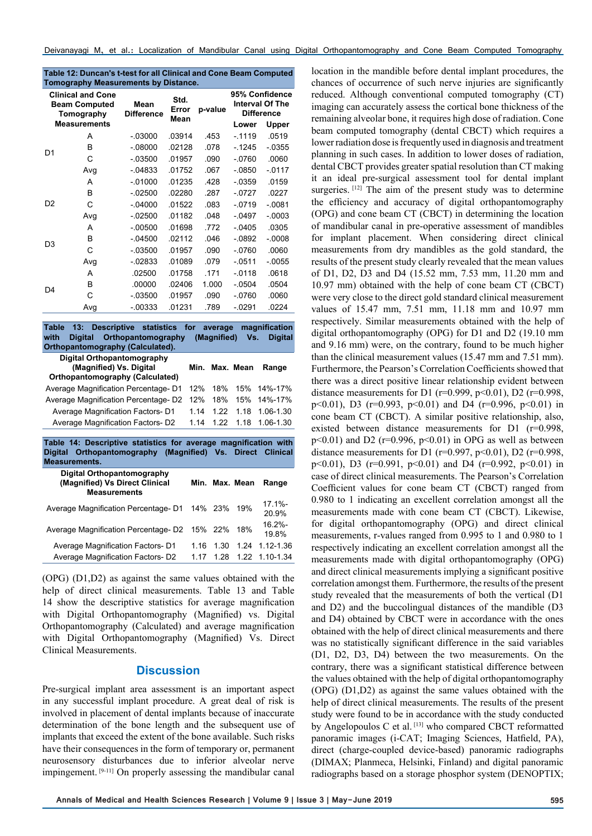| Table 12: Duncan's t-test for all Clinical and Cone Beam Computed |
|-------------------------------------------------------------------|
| <b>Tomography Measurements by Distance.</b>                       |

| <b>Clinical and Cone</b><br><b>Beam Computed</b><br>Tomography<br><b>Measurements</b> |     | Mean<br><b>Difference</b> | Std.<br>Error<br>Mean | p-value | 95% Confidence<br><b>Interval Of The</b><br><b>Difference</b> |           |
|---------------------------------------------------------------------------------------|-----|---------------------------|-----------------------|---------|---------------------------------------------------------------|-----------|
|                                                                                       |     |                           |                       |         | Lower                                                         | Upper     |
| D <sub>1</sub>                                                                        | A   | $-0.03000$                | .03914                | .453    | $-1119$                                                       | .0519     |
|                                                                                       | В   | $-08000$                  | .02128                | .078    | $-1245$                                                       | $-0355$   |
|                                                                                       | С   | $-03500$                  | .01957                | .090    | $-0760$                                                       | .0060     |
|                                                                                       | Avg | $-04833$                  | .01752                | .067    | $-0850$                                                       | $-0117$   |
|                                                                                       | A   | $-.01000$                 | .01235                | .428    | $-0359$                                                       | .0159     |
|                                                                                       | B   | $-02500$                  | .02280                | .287    | $-0727$                                                       | .0227     |
| D <sub>2</sub>                                                                        | C   | $-.04000$                 | .01522                | .083    | $-0719$                                                       | $-0.081$  |
|                                                                                       | Avg | $-02500$                  | .01182                | .048    | $-0497$                                                       | $-0.0003$ |
| D <sub>3</sub>                                                                        | А   | $-00500$                  | .01698                | .772    | $-0405$                                                       | .0305     |
|                                                                                       | в   | $-04500$                  | .02112                | .046    | $-0892$                                                       | $-0.0008$ |
|                                                                                       | С   | $-03500$                  | .01957                | .090    | $-0760$                                                       | .0060     |
|                                                                                       | Avg | $-02833$                  | .01089                | .079    | $-0511$                                                       | $-0055$   |
| D4                                                                                    | Α   | .02500                    | .01758                | .171    | $-0118$                                                       | .0618     |
|                                                                                       | в   | .00000                    | .02406                | 1.000   | $-0504$                                                       | .0504     |
|                                                                                       | С   | $-03500$                  | .01957                | .090    | $-0760$                                                       | .0060     |
|                                                                                       | Avq | $-0.00333$                | .01231                | .789    | $-.0291$                                                      | .0224     |

**Table 13: Descriptive statistics for average magnification with Digital Orthopantomography (Magnified) Vs. Digital Orthopantomography (Calculated). Digital Orthopantomography (Magnified) Vs. Digital Orthopantomography (Calculated) Min. Max. Mean Range** Average Magnification Percentage- D1 12% 18% 15% 14%-17% Average Magnification Percentage- D2 12% 18% 15% 14%-17% Average Magnification Factors- D1 1.14 1.22 1.18 1.06-1.30 Average Magnification Factors- D2 1.14 1.22 1.18 1.06-1.30 **Table 14: Descriptive statistics for average magnification with Digital Orthopantomography (Magnified) Vs. Direct Clinical** 

|                                     |      |      | Range                                                                                                   |
|-------------------------------------|------|------|---------------------------------------------------------------------------------------------------------|
| Average Magnification Percentage-D1 |      |      | $17.1% -$<br>20.9%                                                                                      |
|                                     |      |      | $16.2% -$<br>19.8%                                                                                      |
| 1 16                                | 1.30 | 1.24 | 1.12-1.36                                                                                               |
| 1 17                                |      |      |                                                                                                         |
|                                     |      |      | Min. Max. Mean<br>14% 23% 19%<br>Average Magnification Percentage-D2 15% 22% 18%<br>1.28 1.22 1.10-1.34 |

(OPG) (D1,D2) as against the same values obtained with the help of direct clinical measurements. Table 13 and Table 14 show the descriptive statistics for average magnification with Digital Orthopantomography (Magnified) vs. Digital Orthopantomography (Calculated) and average magnification with Digital Orthopantomography (Magnified) Vs. Direct Clinical Measurements.

## **Discussion**

Pre-surgical implant area assessment is an important aspect in any successful implant procedure. A great deal of risk is involved in placement of dental implants because of inaccurate determination of the bone length and the subsequent use of implants that exceed the extent of the bone available. Such risks have their consequences in the form of temporary or, permanent neurosensory disturbances due to inferior alveolar nerve impingement. [9-11] On properly assessing the mandibular canal

location in the mandible before dental implant procedures, the chances of occurrence of such nerve injuries are significantly reduced. Although conventional computed tomography (CT) imaging can accurately assess the cortical bone thickness of the remaining alveolar bone, it requires high dose of radiation. Cone beam computed tomography (dental CBCT) which requires a lower radiation dose is frequently used in diagnosis and treatment planning in such cases. In addition to lower doses of radiation, dental CBCT provides greater spatial resolution than CT making it an ideal pre-surgical assessment tool for dental implant surgeries. [12] The aim of the present study was to determine the efficiency and accuracy of digital orthopantomography (OPG) and cone beam CT (CBCT) in determining the location of mandibular canal in pre-operative assessment of mandibles for implant placement. When considering direct clinical measurements from dry mandibles as the gold standard, the results of the present study clearly revealed that the mean values of D1, D2, D3 and D4 (15.52 mm, 7.53 mm, 11.20 mm and 10.97 mm) obtained with the help of cone beam CT (CBCT) were very close to the direct gold standard clinical measurement values of 15.47 mm, 7.51 mm, 11.18 mm and 10.97 mm respectively. Similar measurements obtained with the help of digital orthopantomography (OPG) for D1 and D2 (19.10 mm and 9.16 mm) were, on the contrary, found to be much higher than the clinical measurement values (15.47 mm and 7.51 mm). Furthermore, the Pearson's Correlation Coefficients showed that there was a direct positive linear relationship evident between distance measurements for D1 (r=0.999, p<0.01), D2 (r=0.998, p<0.01), D3 (r=0.993, p<0.01) and D4 (r=0.996, p<0.01) in cone beam CT (CBCT). A similar positive relationship, also, existed between distance measurements for D1 (r=0.998,  $p<0.01$ ) and D2 ( $r=0.996$ ,  $p<0.01$ ) in OPG as well as between distance measurements for D1 ( $r=0.997$ ,  $p<0.01$ ), D2 ( $r=0.998$ , p<0.01), D3 (r=0.991, p<0.01) and D4 (r=0.992, p<0.01) in case of direct clinical measurements. The Pearson's Correlation Coefficient values for cone beam CT (CBCT) ranged from 0.980 to 1 indicating an excellent correlation amongst all the measurements made with cone beam CT (CBCT). Likewise, for digital orthopantomography (OPG) and direct clinical measurements, r-values ranged from 0.995 to 1 and 0.980 to 1 respectively indicating an excellent correlation amongst all the measurements made with digital orthopantomography (OPG) and direct clinical measurements implying a significant positive correlation amongst them. Furthermore, the results of the present study revealed that the measurements of both the vertical (D1 and D2) and the buccolingual distances of the mandible (D3 and D4) obtained by CBCT were in accordance with the ones obtained with the help of direct clinical measurements and there was no statistically significant difference in the said variables (D1, D2, D3, D4) between the two measurements. On the contrary, there was a significant statistical difference between the values obtained with the help of digital orthopantomography (OPG) (D1,D2) as against the same values obtained with the help of direct clinical measurements. The results of the present study were found to be in accordance with the study conducted by Angelopoulos C et al. [13] who compared CBCT reformatted panoramic images (i-CAT; Imaging Sciences, Hatfield, PA), direct (charge-coupled device-based) panoramic radiographs (DIMAX; Planmeca, Helsinki, Finland) and digital panoramic radiographs based on a storage phosphor system (DENOPTIX;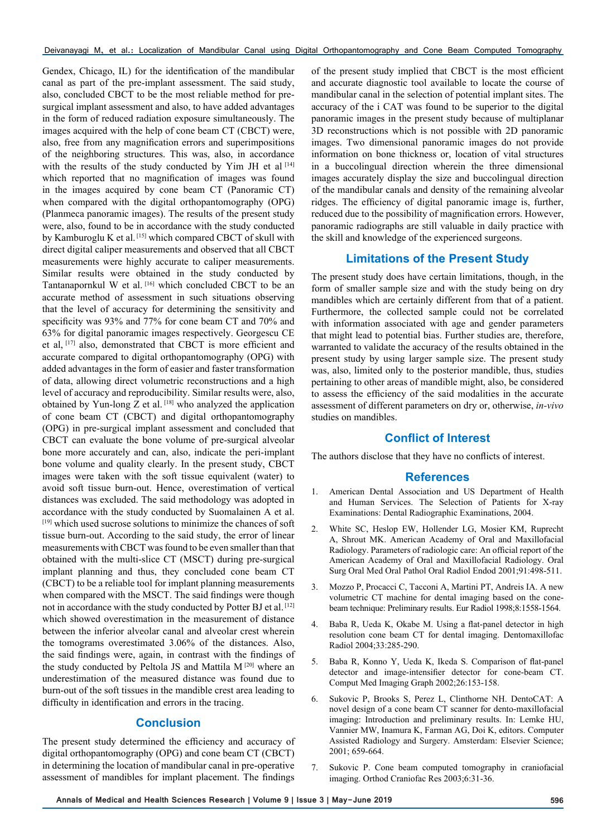Deivanayagi M, et al.: Localization of Mandibular Canal using Digital Orthopantomography and Cone Beam Computed Tomography

Gendex, Chicago, IL) for the identification of the mandibular canal as part of the pre-implant assessment. The said study, also, concluded CBCT to be the most reliable method for presurgical implant assessment and also, to have added advantages in the form of reduced radiation exposure simultaneously. The images acquired with the help of cone beam CT (CBCT) were, also, free from any magnification errors and superimpositions of the neighboring structures. This was, also, in accordance with the results of the study conducted by Yim JH et al [14] which reported that no magnification of images was found in the images acquired by cone beam CT (Panoramic CT) when compared with the digital orthopantomography (OPG) (Planmeca panoramic images). The results of the present study were, also, found to be in accordance with the study conducted by Kamburoglu K et al. [15] which compared CBCT of skull with direct digital caliper measurements and observed that all CBCT measurements were highly accurate to caliper measurements. Similar results were obtained in the study conducted by Tantanapornkul W et al. [16] which concluded CBCT to be an accurate method of assessment in such situations observing that the level of accuracy for determining the sensitivity and specificity was 93% and 77% for cone beam CT and 70% and 63% for digital panoramic images respectively. Georgescu CE et al, [17] also, demonstrated that CBCT is more efficient and accurate compared to digital orthopantomography (OPG) with added advantages in the form of easier and faster transformation of data, allowing direct volumetric reconstructions and a high level of accuracy and reproducibility. Similar results were, also, obtained by Yun-long Z et al. [18] who analyzed the application of cone beam CT (CBCT) and digital orthopantomography (OPG) in pre-surgical implant assessment and concluded that CBCT can evaluate the bone volume of pre-surgical alveolar bone more accurately and can, also, indicate the peri-implant bone volume and quality clearly. In the present study, CBCT images were taken with the soft tissue equivalent (water) to avoid soft tissue burn-out. Hence, overestimation of vertical distances was excluded. The said methodology was adopted in accordance with the study conducted by Suomalainen A et al. [19] which used sucrose solutions to minimize the chances of soft tissue burn-out. According to the said study, the error of linear measurements with CBCT was found to be even smaller than that obtained with the multi-slice CT (MSCT) during pre-surgical implant planning and thus, they concluded cone beam CT (CBCT) to be a reliable tool for implant planning measurements when compared with the MSCT. The said findings were though not in accordance with the study conducted by Potter BJ et al. [12] which showed overestimation in the measurement of distance between the inferior alveolar canal and alveolar crest wherein the tomograms overestimated 3.06% of the distances. Also, the said findings were, again, in contrast with the findings of the study conducted by Peltola JS and Mattila M [20] where an underestimation of the measured distance was found due to burn-out of the soft tissues in the mandible crest area leading to difficulty in identification and errors in the tracing.

## **Conclusion**

The present study determined the efficiency and accuracy of digital orthopantomography (OPG) and cone beam CT (CBCT) in determining the location of mandibular canal in pre-operative assessment of mandibles for implant placement. The findings

of the present study implied that CBCT is the most efficient and accurate diagnostic tool available to locate the course of mandibular canal in the selection of potential implant sites. The accuracy of the i CAT was found to be superior to the digital panoramic images in the present study because of multiplanar 3D reconstructions which is not possible with 2D panoramic images. Two dimensional panoramic images do not provide information on bone thickness or, location of vital structures in a buccolingual direction wherein the three dimensional images accurately display the size and buccolingual direction of the mandibular canals and density of the remaining alveolar ridges. The efficiency of digital panoramic image is, further, reduced due to the possibility of magnification errors. However, panoramic radiographs are still valuable in daily practice with the skill and knowledge of the experienced surgeons.

# **Limitations of the Present Study**

The present study does have certain limitations, though, in the form of smaller sample size and with the study being on dry mandibles which are certainly different from that of a patient. Furthermore, the collected sample could not be correlated with information associated with age and gender parameters that might lead to potential bias. Further studies are, therefore, warranted to validate the accuracy of the results obtained in the present study by using larger sample size. The present study was, also, limited only to the posterior mandible, thus, studies pertaining to other areas of mandible might, also, be considered to assess the efficiency of the said modalities in the accurate assessment of different parameters on dry or, otherwise, *in-vivo* studies on mandibles.

# **Conflict of Interest**

The authors disclose that they have no conflicts of interest.

## **References**

- 1. American Dental Association and US Department of Health and Human Services. The Selection of Patients for X-ray Examinations: Dental Radiographic Examinations, 2004.
- 2. White SC, Heslop EW, Hollender LG, Mosier KM, Ruprecht A, Shrout MK. American Academy of Oral and Maxillofacial Radiology. Parameters of radiologic care: An official report of the American Academy of Oral and Maxillofacial Radiology. Oral Surg Oral Med Oral Pathol Oral Radiol Endod 2001;91:498-511.
- 3. Mozzo P, Procacci C, Tacconi A, Martini PT, Andreis IA. A new volumetric CT machine for dental imaging based on the conebeam technique: Preliminary results. Eur Radiol 1998;8:1558-1564.
- 4. Baba R, Ueda K, Okabe M. Using a flat-panel detector in high resolution cone beam CT for dental imaging. Dentomaxillofac Radiol 2004;33:285-290.
- 5. Baba R, Konno Y, Ueda K, Ikeda S. Comparison of flat-panel detector and image-intensifier detector for cone-beam CT. Comput Med Imaging Graph 2002;26:153-158.
- 6. Sukovic P, Brooks S, Perez L, Clinthorne NH. DentoCAT: A novel design of a cone beam CT scanner for dento-maxillofacial imaging: Introduction and preliminary results. In: Lemke HU, Vannier MW, Inamura K, Farman AG, Doi K, editors. Computer Assisted Radiology and Surgery. Amsterdam: Elsevier Science; 2001; 659-664.
- 7. Sukovic P. Cone beam computed tomography in craniofacial imaging. Orthod Craniofac Res 2003;6:31-36.